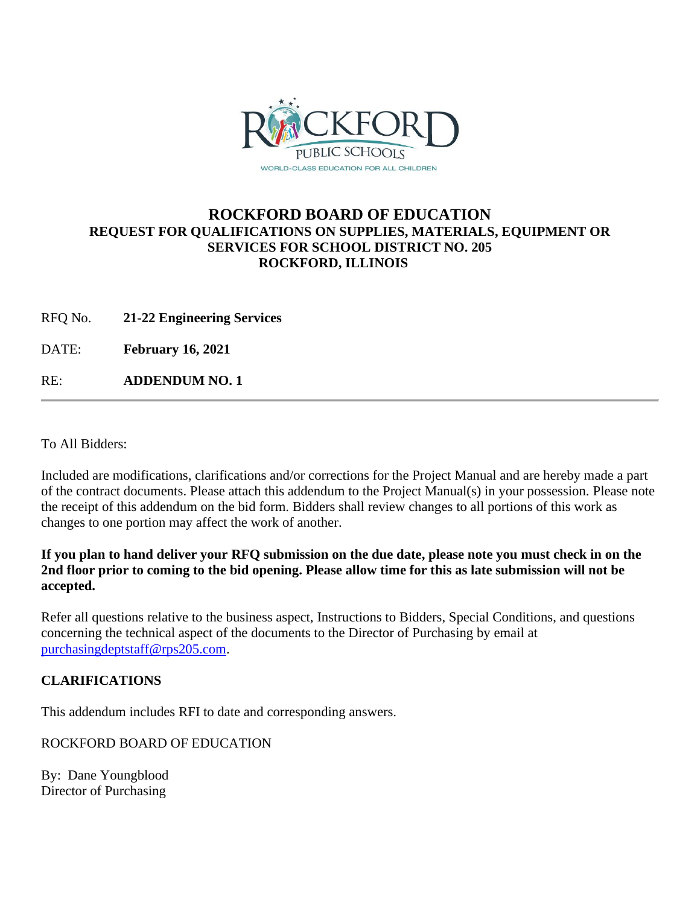

## **ROCKFORD BOARD OF EDUCATION REQUEST FOR QUALIFICATIONS ON SUPPLIES, MATERIALS, EQUIPMENT OR SERVICES FOR SCHOOL DISTRICT NO. 205 ROCKFORD, ILLINOIS**

RFQ No. **21-22 Engineering Services**

DATE: **February 16, 2021**

RE: **ADDENDUM NO. 1**

To All Bidders:

Included are modifications, clarifications and/or corrections for the Project Manual and are hereby made a part of the contract documents. Please attach this addendum to the Project Manual(s) in your possession. Please note the receipt of this addendum on the bid form. Bidders shall review changes to all portions of this work as changes to one portion may affect the work of another.

**If you plan to hand deliver your RFQ submission on the due date, please note you must check in on the 2nd floor prior to coming to the bid opening. Please allow time for this as late submission will not be accepted.**

Refer all questions relative to the business aspect, Instructions to Bidders, Special Conditions, and questions concerning the technical aspect of the documents to the Director of Purchasing by email at [purchasingdeptstaff@rps205.com.](mailto:purchasingdeptstaff@rps205.com)

## **CLARIFICATIONS**

This addendum includes RFI to date and corresponding answers.

ROCKFORD BOARD OF EDUCATION

By: Dane Youngblood Director of Purchasing